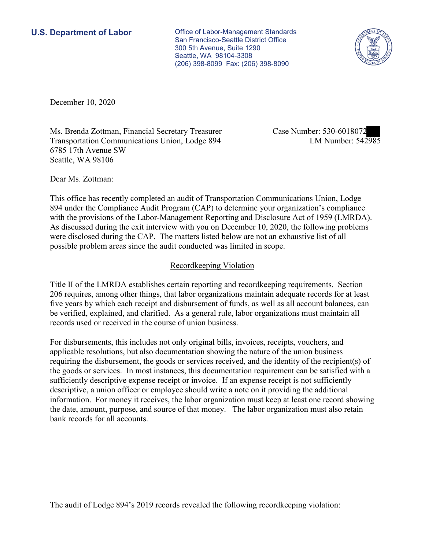**U.S. Department of Labor Conservative Conservative Conservative Conservative Conservative Conservative Conservative Conservative Conservative Conservative Conservative Conservative Conservative Conservative Conservative** San Francisco-Seattle District Office 300 5th Avenue, Suite 1290 Seattle, WA 98104-3308 (206) 398-8099 Fax: (206) 398-8090



December 10, 2020

Ms. Brenda Zottman, Financial Secretary Treasurer Transportation Communications Union, Lodge 894 6785 17th Avenue SW Seattle, WA 98106

Case Number: 530-6018072<br>LM Number: 542985

Dear Ms. Zottman:

 This office has recently completed an audit of Transportation Communications Union, Lodge 894 under the Compliance Audit Program (CAP) to determine your organization's compliance with the provisions of the Labor-Management Reporting and Disclosure Act of 1959 (LMRDA). As discussed during the exit interview with you on December 10, 2020, the following problems were disclosed during the CAP. The matters listed below are not an exhaustive list of all possible problem areas since the audit conducted was limited in scope.

## Recordkeeping Violation

 Title II of the LMRDA establishes certain reporting and recordkeeping requirements. Section 206 requires, among other things, that labor organizations maintain adequate records for at least five years by which each receipt and disbursement of funds, as well as all account balances, can be verified, explained, and clarified. As a general rule, labor organizations must maintain all records used or received in the course of union business.

For disbursements, this includes not only original bills, invoices, receipts, vouchers, and applicable resolutions, but also documentation showing the nature of the union business requiring the disbursement, the goods or services received, and the identity of the recipient(s) of the goods or services. In most instances, this documentation requirement can be satisfied with a sufficiently descriptive expense receipt or invoice. If an expense receipt is not sufficiently descriptive, a union officer or employee should write a note on it providing the additional information. For money it receives, the labor organization must keep at least one record showing the date, amount, purpose, and source of that money. The labor organization must also retain bank records for all accounts.